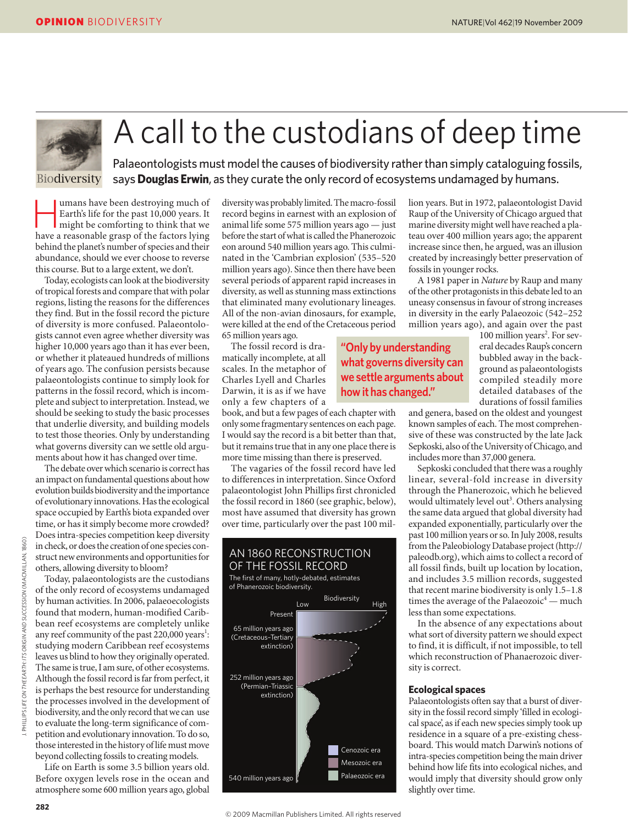

## A call to the custodians of deep time

Palaeontologists must model the causes of biodiversity rather than simply cataloguing fossils, says **Douglas Erwin**, as they curate the only record of ecosystems undamaged by humans.

Imans have been destroying much of<br>
Earth's life for the past 10,000 years. It<br>
might be comforting to think that we<br>
have a receptable green of the factors lying Earth's life for the past 10,000 years. It have a reasonable grasp of the factors lying behind the planet's number of species and their abundance, should we ever choose to reverse this course. But to a large extent, we don't.

Today, ecologists can look at the biodiversity of tropical forests and compare that with polar regions, listing the reasons for the differences they find. But in the fossil record the picture of diversity is more confused. Palaeontologists cannot even agree whether diversity was higher 10,000 years ago than it has ever been, or whether it plateaued hundreds of millions of years ago. The confusion persists because palaeontologists continue to simply look for patterns in the fossil record, which is incomplete and subject to interpretation. Instead, we should be seeking to study the basic processes that underlie diversity, and building models to test those theories. Only by understanding what governs diversity can we settle old arguments about how it has changed over time.

The debate over which scenario is correct has an impact on fundamental questions about how evolution builds biodiversity and the importance of evolutionary innovations. Has the ecological space occupied by Earth's biota expanded over time, or has it simply become more crowded? Does intra-species competition keep diversity in check, or does the creation of one species construct new environments and opportunities for others, allowing diversity to bloom?

Today, palaeontologists are the custodians of the only record of ecosystems undamaged by human activities. In 2006, palaeoecologists found that modern, human-modified Caribbean reef ecosystems are completely unlike any reef community of the past 220,000 years<sup>1</sup>: studying modern Caribbean reef ecosystems leaves us blind to how they originally operated. The same is true, I am sure, of other ecosystems. Although the fossil record is far from perfect, it is perhaps the best resource for understanding the processes involved in the development of biodiversity, and the only record that we can use to evaluate the long-term significance of competition and evolutionary innovation. To do so, those interested in the history of life must move beyond collecting fossils to creating models.

Life on Earth is some 3.5 billion years old. Before oxygen levels rose in the ocean and atmosphere some 600 million years ago, global

diversity was probably limited. The macro-fossil record begins in earnest with an explosion of animal life some 575 million years ago — just before the start of what is called the Phanerozoic eon around 540 million years ago. This culminated in the 'Cambrian explosion' (535–520 million years ago). Since then there have been several periods of apparent rapid increases in diversity, as well as stunning mass extinctions that eliminated many evolutionary lineages. All of the non-avian dinosaurs, for example, were killed at the end of the Cretaceous period 65 million years ago.

The fossil record is dramatically incomplete, at all scales. In the metaphor of Charles Lyell and Charles Darwin, it is as if we have only a few chapters of a

book, and but a few pages of each chapter with only some fragmentary sentences on each page. I would say the record is a bit better than that, but it remains true that in any one place there is more time missing than there is preserved.

The vagaries of the fossil record have led to differences in interpretation. Since Oxford palaeontologist John Phillips first chronicled the fossil record in 1860 (see graphic, below), most have assumed that diversity has grown over time, particularly over the past 100 mil-

| OF THE FOSSIL RECORD<br>The first of many, hotly-debated, estimates<br>of Phanerozoic biodiversity. | AN 1860 RECONSTRUCTION       |
|-----------------------------------------------------------------------------------------------------|------------------------------|
|                                                                                                     | Biodiversity<br>Low<br>High  |
| Present                                                                                             |                              |
| 65 million years ago                                                                                |                              |
| (Cretaceous-Tertiary<br>extinction)                                                                 |                              |
| 252 million years ago<br>(Permian-Triassic<br>extinction)                                           | Cenozoic era<br>Mesozoic era |
| 540 million years ago                                                                               | Palaeozoic era               |

**"Only by understanding what governs diversity can we settle arguments about how it has changed."**

lion years. But in 1972, palaeontologist David Raup of the University of Chicago argued that marine diversity might well have reached a plateau over 400 million years ago; the apparent increase since then, he argued, was an illusion created by increasingly better preservation of fossils in younger rocks.

A 1981 paper in *Nature* by Raup and many of the other protagonists in this debate led to an uneasy consensus in favour of strong increases in diversity in the early Palaeozoic (542–252 million years ago), and again over the past

> 100 million years<sup>2</sup>. For several decades Raup's concern bubbled away in the background as palaeontologists compiled steadily more detailed databases of the durations of fossil families

and genera, based on the oldest and youngest known samples of each. The most comprehensive of these was constructed by the late Jack Sepkoski, also of the University of Chicago, and includes more than 37,000 genera.

Sepkoski concluded that there was a roughly linear, several-fold increase in diversity through the Phanerozoic, which he believed would ultimately level out<sup>3</sup>. Others analysing the same data argued that global diversity had expanded exponentially, particularly over the past 100 million years or so. In July 2008, results from the Paleobiology Database project (http:// paleodb.org), which aims to collect a record of all fossil finds, built up location by location, and includes 3.5 million records, suggested that recent marine biodiversity is only 1.5–1.8 times the average of the Palaeozoic<sup>4</sup> — much less than some expectations.

In the absence of any expectations about what sort of diversity pattern we should expect to find, it is difficult, if not impossible, to tell which reconstruction of Phanaerozoic diversity is correct.

## **Ecological spaces**

Palaeontologists often say that a burst of diversity in the fossil record simply 'filled in ecological space', as if each new species simply took up residence in a square of a pre-existing chessboard. This would match Darwin's notions of intra-species competition being the main driver behind how life fits into ecological niches, and would imply that diversity should grow only slightly over time.